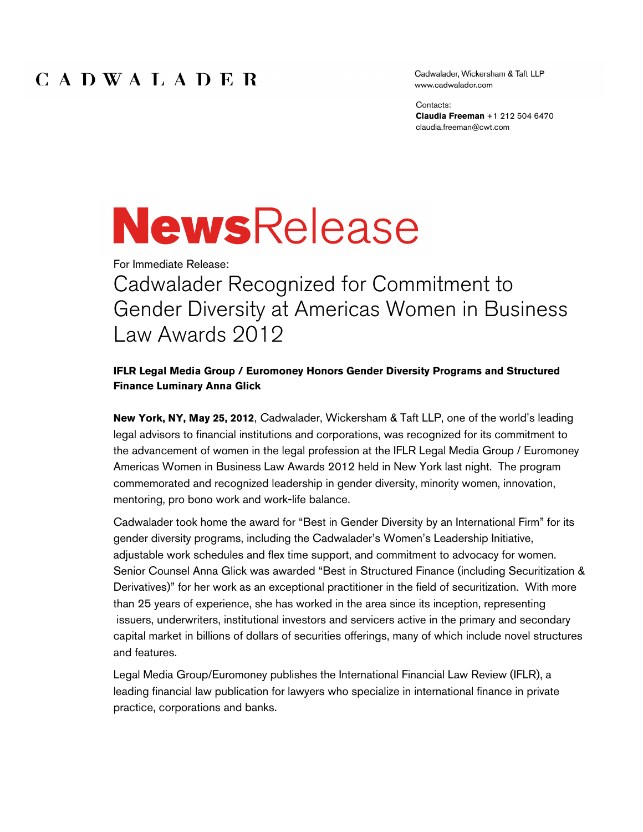### CADWALADER

Cadwalader, Wickersham & Taft LLP www.cadwalader.com

Contacts: **Claudia Freeman** +1 212 504 6470 claudia.freeman@cwt.com

# **NewsRelease**

For Immediate Release:

Cadwalader Recognized for Commitment to Gender Diversity at Americas Women in Business Law Awards 2012

#### **IFLR Legal Media Group / Euromoney Honors Gender Diversity Programs and Structured Finance Luminary Anna Glick**

**New York, NY, May 25, 2012**, Cadwalader, Wickersham & Taft LLP, one of the world's leading legal advisors to financial institutions and corporations, was recognized for its commitment to the advancement of women in the legal profession at the IFLR Legal Media Group / Euromoney Americas Women in Business Law Awards 2012 held in New York last night. The program commemorated and recognized leadership in gender diversity, minority women, innovation, mentoring, pro bono work and work-life balance.

Cadwalader took home the award for "Best in Gender Diversity by an International Firm" for its gender diversity programs, including the Cadwalader's Women's Leadership Initiative, adjustable work schedules and flex time support, and commitment to advocacy for women. Senior Counsel Anna Glick was awarded "Best in Structured Finance (including Securitization & Derivatives)" for her work as an exceptional practitioner in the field of securitization. With more than 25 years of experience, she has worked in the area since its inception, representing issuers, underwriters, institutional investors and servicers active in the primary and secondary capital market in billions of dollars of securities offerings, many of which include novel structures and features.

Legal Media Group/Euromoney publishes the International Financial Law Review (IFLR), a leading financial law publication for lawyers who specialize in international finance in private practice, corporations and banks.